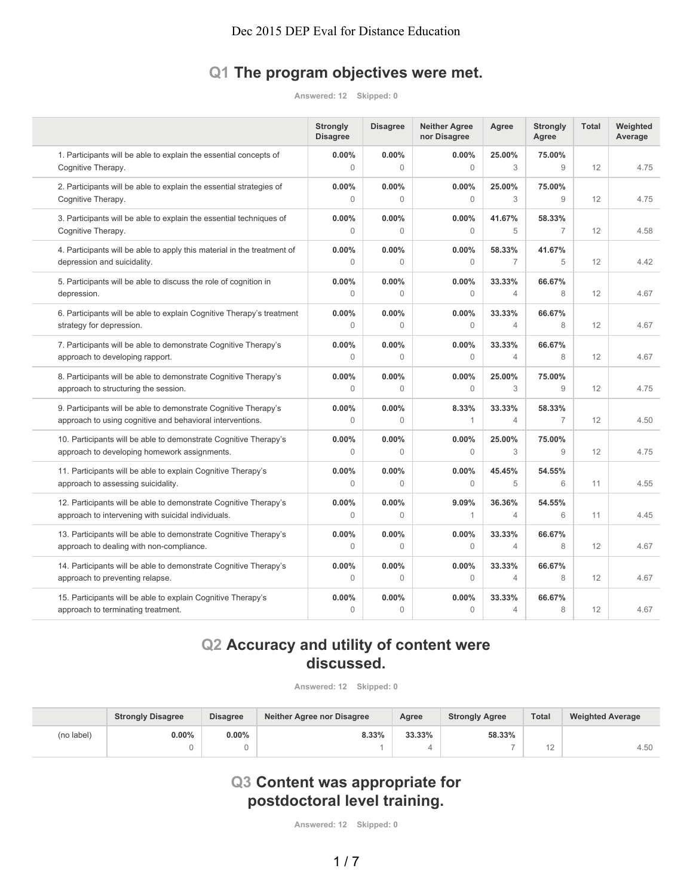# **Q1 The program objectives were met.**

**Answered: 12 Skipped: 0**

|                                                                                                                              | <b>Strongly</b><br><b>Disagree</b> | <b>Disagree</b>          | <b>Neither Agree</b><br>nor Disagree | Agree                    | <b>Strongly</b><br>Agree | <b>Total</b> | Weighted<br>Average |
|------------------------------------------------------------------------------------------------------------------------------|------------------------------------|--------------------------|--------------------------------------|--------------------------|--------------------------|--------------|---------------------|
| 1. Participants will be able to explain the essential concepts of<br>Cognitive Therapy.                                      | $0.00\%$<br>$\mathbf{0}$           | $0.00\%$<br>$\Omega$     | 0.00%<br>$\mathbf{0}$                | 25.00%<br>3              | 75.00%<br>9              | 12           | 4.75                |
| 2. Participants will be able to explain the essential strategies of<br>Cognitive Therapy.                                    | $0.00\%$<br>$\mathbf{0}$           | 0.00%<br>$\Omega$        | 0.00%<br>$\mathbf{0}$                | 25.00%<br>3              | 75.00%<br>9              | 12           | 4.75                |
| 3. Participants will be able to explain the essential techniques of<br>Cognitive Therapy.                                    | 0.00%<br>$\Omega$                  | $0.00\%$<br>$\Omega$     | 0.00%<br>$\theta$                    | 41.67%<br>5              | 58.33%<br>$\overline{7}$ | 12           | 4.58                |
| 4. Participants will be able to apply this material in the treatment of<br>depression and suicidality.                       | $0.00\%$<br>$\mathbf{0}$           | $0.00\%$<br>$\mathbf 0$  | 0.00%<br>$\mathbf{0}$                | 58.33%<br>$\overline{7}$ | 41.67%<br>5              | 12           | 4.42                |
| 5. Participants will be able to discuss the role of cognition in<br>depression.                                              | $0.00\%$<br>$\mathbf{0}$           | 0.00%<br>$\Omega$        | 0.00%<br>$\mathbf{0}$                | 33.33%<br>$\overline{4}$ | 66.67%<br>8              | 12           | 4.67                |
| 6. Participants will be able to explain Cognitive Therapy's treatment<br>strategy for depression.                            | $0.00\%$<br>$\Omega$               | $0.00\%$<br>$\Omega$     | 0.00%<br>$\theta$                    | 33.33%<br>$\overline{4}$ | 66.67%<br>8              | 12           | 4.67                |
| 7. Participants will be able to demonstrate Cognitive Therapy's<br>approach to developing rapport.                           | $0.00\%$<br>$\mathbf{0}$           | 0.00%<br>$\Omega$        | 0.00%<br>$\mathbf{0}$                | 33.33%<br>4              | 66.67%<br>8              | 12           | 4.67                |
| 8. Participants will be able to demonstrate Cognitive Therapy's<br>approach to structuring the session.                      | 0.00%<br>$\Omega$                  | 0.00%<br>$\Omega$        | 0.00%<br>$\mathbf{0}$                | 25.00%<br>3              | 75.00%<br>9              | 12           | 4.75                |
| 9. Participants will be able to demonstrate Cognitive Therapy's<br>approach to using cognitive and behavioral interventions. | $0.00\%$<br>$\Omega$               | 0.00%<br>$\Omega$        | 8.33%<br>1                           | 33.33%<br>$\overline{4}$ | 58.33%<br>$\overline{7}$ | 12           | 4.50                |
| 10. Participants will be able to demonstrate Cognitive Therapy's<br>approach to developing homework assignments.             | $0.00\%$<br>$\mathbf{0}$           | 0.00%<br>$\Omega$        | 0.00%<br>$\mathbf{0}$                | 25.00%<br>3              | 75.00%<br>9              | 12           | 4.75                |
| 11. Participants will be able to explain Cognitive Therapy's<br>approach to assessing suicidality.                           | 0.00%<br>$\Omega$                  | 0.00%<br>$\Omega$        | 0.00%<br>$\mathbf{0}$                | 45.45%<br>5              | 54.55%<br>6              | 11           | 4.55                |
| 12. Participants will be able to demonstrate Cognitive Therapy's<br>approach to intervening with suicidal individuals.       | $0.00\%$<br>$\mathbf{0}$           | 0.00%<br>$\Omega$        | 9.09%<br>1                           | 36.36%<br>4              | 54.55%<br>6              | 11           | 4.45                |
| 13. Participants will be able to demonstrate Cognitive Therapy's<br>approach to dealing with non-compliance.                 | 0.00%<br>$\mathbf{0}$              | 0.00%<br>$\Omega$        | 0.00%<br>$\mathbf{0}$                | 33.33%<br>4              | 66.67%<br>8              | 12           | 4.67                |
| 14. Participants will be able to demonstrate Cognitive Therapy's<br>approach to preventing relapse.                          | 0.00%<br>$\Omega$                  | 0.00%<br>$\Omega$        | 0.00%<br>$\mathbf{0}$                | 33.33%<br>$\overline{4}$ | 66.67%<br>8              | 12           | 4.67                |
| 15. Participants will be able to explain Cognitive Therapy's<br>approach to terminating treatment.                           | $0.00\%$<br>$\mathbf{0}$           | $0.00\%$<br>$\mathbf{0}$ | 0.00%<br>0                           | 33.33%<br>$\overline{4}$ | 66.67%<br>8              | 12           | 4.67                |

# **Q2 Accuracy and utility of content were discussed.**

**Answered: 12 Skipped: 0**

|            | <b>Strongly Disagree</b> | <b>Disagree</b> | Neither Agree nor Disagree | Agree  | <b>Strongly Agree</b> |                | <b>Weighted Average</b> |
|------------|--------------------------|-----------------|----------------------------|--------|-----------------------|----------------|-------------------------|
| (no label) | $0.00\%$                 | $0.00\%$        | 8.33%                      | 33.33% | 58.33%                |                |                         |
|            |                          |                 |                            |        |                       | $\overline{A}$ | 4.50                    |

# **Q3 Content was appropriate for postdoctoral level training.**

**Answered: 12 Skipped: 0**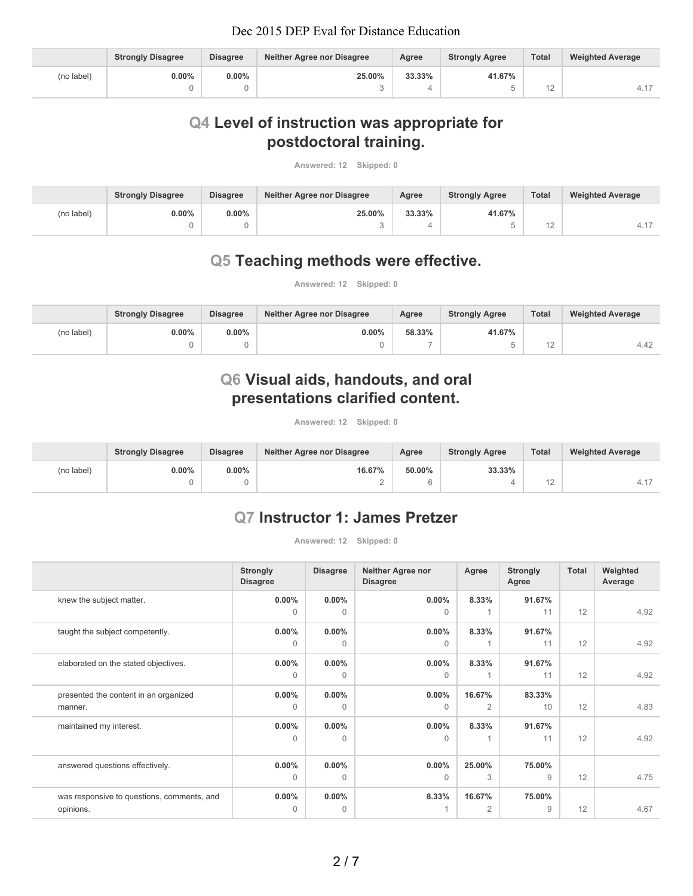|            | <b>Strongly Disagree</b> | <b>Disagree</b> | Neither Agree nor Disagree | Agree  | <b>Strongly Agree</b> | <b>Total</b> | <b>Weighted Average</b> |
|------------|--------------------------|-----------------|----------------------------|--------|-----------------------|--------------|-------------------------|
| (no label) | $0.00\%$                 | $0.00\%$        | 25.00%                     | 33.33% | 41.67%                |              |                         |
|            |                          |                 |                            |        |                       | ے ا          | ц.                      |

# **Q4 Level of instruction was appropriate for postdoctoral training.**

**Answered: 12 Skipped: 0**

|            | <b>Strongly Disagree</b> | <b>Disagree</b> | Neither Agree nor Disagree | Agree  | <b>Strongly Agree</b> | <b>Total</b> | <b>Weighted Average</b> |
|------------|--------------------------|-----------------|----------------------------|--------|-----------------------|--------------|-------------------------|
| (no label) | $0.00\%$                 | $0.00\%$        | 25.00%                     | 33.33% | 41.67%                |              |                         |
|            |                          |                 |                            |        |                       | ے ا          | $\Delta$ 1              |

### **Q5 Teaching methods were effective.**

**Answered: 12 Skipped: 0**

|            | <b>Strongly Disagree</b> | <b>Disagree</b> | Neither Agree nor Disagree | Agree  | <b>Strongly Agree</b> | <b>Total</b> | <b>Weighted Average</b> |
|------------|--------------------------|-----------------|----------------------------|--------|-----------------------|--------------|-------------------------|
| (no label) | $0.00\%$                 | $0.00\%$        | 0.00%                      | 58.33% | 41.67%                |              |                         |
|            |                          |                 |                            |        |                       | ┕            | 4.42                    |

# **Q6 Visual aids, handouts, and oral presentations clarified content.**

**Answered: 12 Skipped: 0**

|            | <b>Strongly Disagree</b> | <b>Disagree</b> | Neither Agree nor Disagree | Agree  | <b>Strongly Agree</b> | Total  | <b>Weighted Average</b> |
|------------|--------------------------|-----------------|----------------------------|--------|-----------------------|--------|-------------------------|
| (no label) | $0.00\%$                 | $0.00\%$        | 16.67%                     | 50.00% | 33.33%                |        |                         |
|            |                          |                 |                            |        |                       | $\sim$ |                         |

# **Q7 Instructor 1: James Pretzer**

**Answered: 12 Skipped: 0**

|                                            | <b>Strongly</b><br><b>Disagree</b> | <b>Disagree</b> | <b>Neither Agree nor</b><br><b>Disagree</b> | Agree          | <b>Strongly</b><br>Agree | Total | Weighted<br>Average |
|--------------------------------------------|------------------------------------|-----------------|---------------------------------------------|----------------|--------------------------|-------|---------------------|
| knew the subject matter.                   | $0.00\%$                           | $0.00\%$        | $0.00\%$                                    | 8.33%          | 91.67%                   |       |                     |
|                                            | $\Omega$                           | $\Omega$        | $\Omega$                                    |                | 11                       | 12    | 4.92                |
| taught the subject competently.            | $0.00\%$                           | $0.00\%$        | $0.00\%$                                    | 8.33%          | 91.67%                   |       |                     |
|                                            | $\Omega$                           | $\Omega$        | $\Omega$                                    |                | 11                       | 12    | 4.92                |
| elaborated on the stated objectives.       | $0.00\%$                           | $0.00\%$        | $0.00\%$                                    | 8.33%          | 91.67%                   |       |                     |
|                                            | $\Omega$                           | $\Omega$        | $\Omega$                                    |                | 11                       | 12    | 4.92                |
| presented the content in an organized      | $0.00\%$                           | $0.00\%$        | $0.00\%$                                    | 16.67%         | 83.33%                   |       |                     |
| manner.                                    | $\Omega$                           | $\Omega$        | $\Omega$                                    | $\overline{2}$ | 10                       | 12    | 4.83                |
| maintained my interest.                    | $0.00\%$                           | $0.00\%$        | $0.00\%$                                    | 8.33%          | 91.67%                   |       |                     |
|                                            | $\Omega$                           | $\mathbf{0}$    | $\Omega$                                    |                | 11                       | 12    | 4.92                |
|                                            |                                    |                 |                                             |                |                          |       |                     |
| answered questions effectively.            | $0.00\%$                           | $0.00\%$        | $0.00\%$                                    | 25.00%         | 75.00%                   |       |                     |
|                                            | $\Omega$                           | $\Omega$        | $\Omega$                                    | 3              | 9                        | 12    | 4.75                |
| was responsive to questions, comments, and | $0.00\%$                           | $0.00\%$        | 8.33%                                       | 16.67%         | 75.00%                   |       |                     |
| opinions.                                  | $\Omega$                           | $\mathbf{0}$    |                                             | $\overline{2}$ | 9                        | 12    | 4.67                |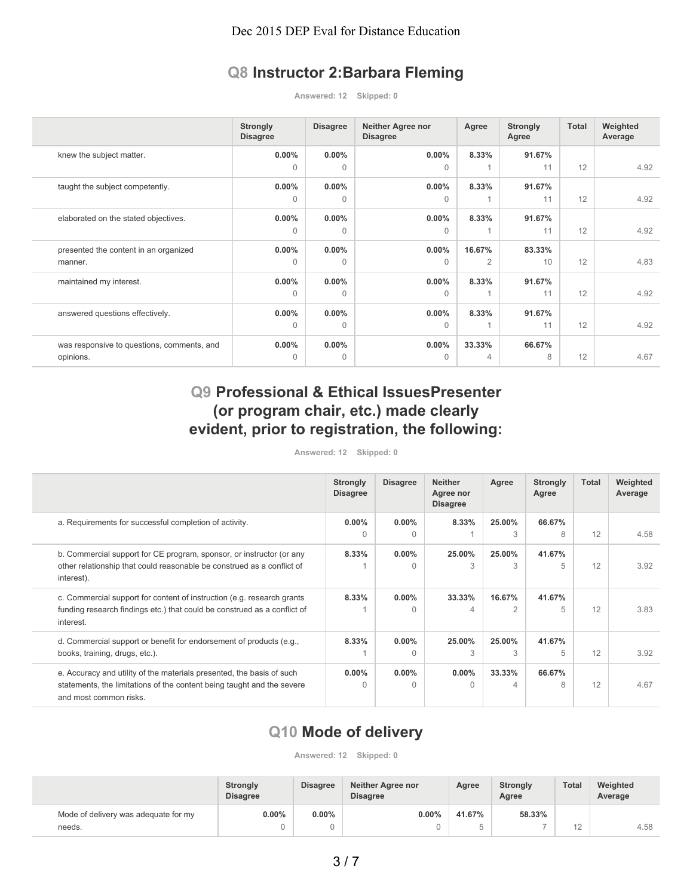# **Q8 Instructor 2:Barbara Fleming**

**Answered: 12 Skipped: 0**

|                                            | <b>Strongly</b><br><b>Disagree</b> | <b>Disagree</b> | <b>Neither Agree nor</b><br><b>Disagree</b> | Agree  | <b>Strongly</b><br>Agree | Total | Weighted<br>Average |
|--------------------------------------------|------------------------------------|-----------------|---------------------------------------------|--------|--------------------------|-------|---------------------|
| knew the subject matter.                   | $0.00\%$                           | $0.00\%$        | $0.00\%$                                    | 8.33%  | 91.67%                   |       |                     |
|                                            | $\Omega$                           | $\Omega$        | $\Omega$                                    |        | 11                       | 12    | 4.92                |
| taught the subject competently.            | $0.00\%$                           | $0.00\%$        | $0.00\%$                                    | 8.33%  | 91.67%                   |       |                     |
|                                            | $\Omega$                           | $\Omega$        | $\Omega$                                    |        | 11                       | 12    | 4.92                |
| elaborated on the stated objectives.       | $0.00\%$                           | $0.00\%$        | $0.00\%$                                    | 8.33%  | 91.67%                   |       |                     |
|                                            | 0                                  | $\Omega$        | $\Omega$                                    |        | 11                       | 12    | 4.92                |
| presented the content in an organized      | $0.00\%$                           | $0.00\%$        | $0.00\%$                                    | 16.67% | 83.33%                   |       |                     |
| manner.                                    | $\Omega$                           | $\Omega$        | $\Omega$                                    | 2      | 10                       | 12    | 4.83                |
| maintained my interest.                    | $0.00\%$                           | $0.00\%$        | $0.00\%$                                    | 8.33%  | 91.67%                   |       |                     |
|                                            | $\Omega$                           | $\Omega$        | $\Omega$                                    |        | 11                       | 12    | 4.92                |
| answered questions effectively.            | $0.00\%$                           | $0.00\%$        | $0.00\%$                                    | 8.33%  | 91.67%                   |       |                     |
|                                            | $\Omega$                           | $\Omega$        | $\Omega$                                    |        | 11                       | 12    | 4.92                |
| was responsive to questions, comments, and | $0.00\%$                           | $0.00\%$        | $0.00\%$                                    | 33.33% | 66.67%                   |       |                     |
| opinions.                                  | $\Omega$                           | $\Omega$        | $\Omega$                                    | 4      | 8                        | 12    | 4.67                |

# **Q9 Professional & Ethical IssuesPresenter (or program chair, etc.) made clearly evident, prior to registration, the following:**

#### **Answered: 12 Skipped: 0**

|                                                                                                                                                                           | <b>Strongly</b><br><b>Disagree</b> | <b>Disagree</b>          | <b>Neither</b><br>Agree nor<br><b>Disagree</b> | Agree       | <b>Strongly</b><br>Agree | Total | Weighted<br>Average |
|---------------------------------------------------------------------------------------------------------------------------------------------------------------------------|------------------------------------|--------------------------|------------------------------------------------|-------------|--------------------------|-------|---------------------|
| a. Requirements for successful completion of activity.                                                                                                                    | $0.00\%$                           | $0.00\%$                 | 8.33%                                          | 25.00%      | 66.67%                   |       |                     |
|                                                                                                                                                                           | $\Omega$                           | $\Omega$                 |                                                | 3           | 8                        | 12    | 4.58                |
| b. Commercial support for CE program, sponsor, or instructor (or any                                                                                                      | 8.33%                              | $0.00\%$                 | 25.00%                                         | 25.00%      | 41.67%                   |       |                     |
| other relationship that could reasonable be construed as a conflict of<br>interest).                                                                                      |                                    | $\Omega$                 | 3                                              | 3           | 5                        | 12    | 3.92                |
| c. Commercial support for content of instruction (e.g. research grants<br>funding research findings etc.) that could be construed as a conflict of<br>interest.           | 8.33%                              | $0.00\%$<br><sup>n</sup> | 33.33%<br>4                                    | 16.67%<br>2 | 41.67%<br>5              | 12    | 3.83                |
| d. Commercial support or benefit for endorsement of products (e.g.,<br>books, training, drugs, etc.).                                                                     | 8.33%                              | $0.00\%$<br>$\Omega$     | 25.00%<br>3                                    | 25.00%<br>3 | 41.67%<br>5              | 12    | 3.92                |
| e. Accuracy and utility of the materials presented, the basis of such<br>statements, the limitations of the content being taught and the severe<br>and most common risks. | $0.00\%$<br>$\Omega$               | $0.00\%$<br>$\Omega$     | $0.00\%$<br>$\Omega$                           | 33.33%<br>4 | 66.67%<br>8              | 12    | 4.67                |

#### **Q10 Mode of delivery**

**Answered: 12 Skipped: 0**

|                                      | <b>Disagree</b><br><b>Strongly</b><br><b>Disagree</b> |          | Neither Agree nor<br><b>Disagree</b> | Agree  | <b>Strongly</b><br>Agree | <b>Total</b> | Weighted<br>Average |
|--------------------------------------|-------------------------------------------------------|----------|--------------------------------------|--------|--------------------------|--------------|---------------------|
| Mode of delivery was adequate for my | 0.00%                                                 | $0.00\%$ | $0.00\%$                             | 41.67% | 58.33%                   |              |                     |
| needs.                               |                                                       |          |                                      |        | -                        | $\sim$<br>┕  | 4.58                |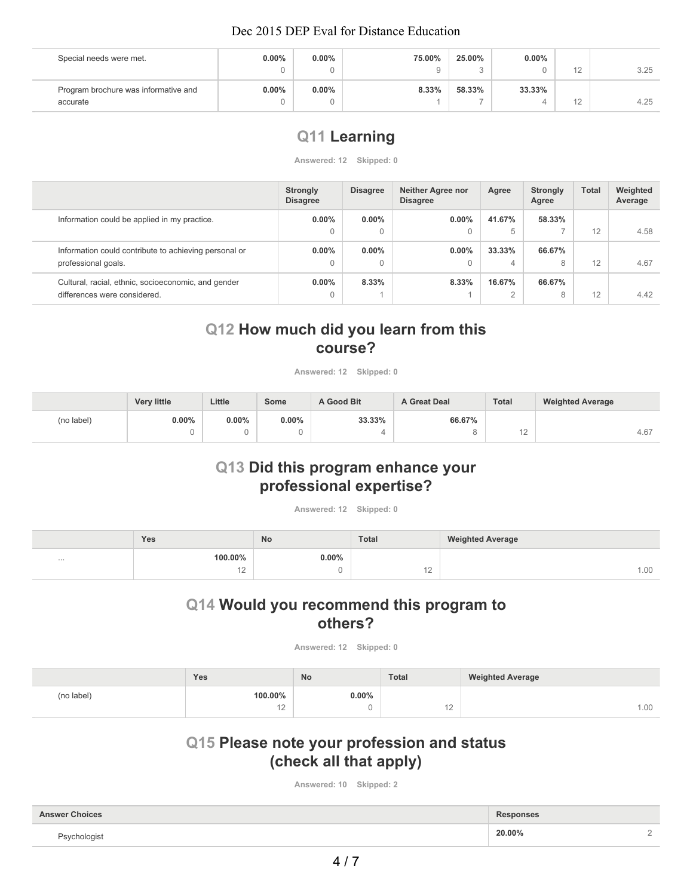| Special needs were met.              | $0.00\%$ | $0.00\%$ | 75.00% | 25.00% | $0.00\%$ |                      |      |
|--------------------------------------|----------|----------|--------|--------|----------|----------------------|------|
|                                      |          |          |        |        |          | $\sqrt{2}$<br>$\sim$ | 3.25 |
| Program brochure was informative and | $0.00\%$ | $0.00\%$ | 8.33%  | 58.33% | 33.33%   |                      |      |
| accurate                             |          |          |        |        |          | ┕                    | 4.25 |

# **Q11 Learning**

**Answered: 12 Skipped: 0**

|                                                       | <b>Strongly</b><br><b>Disagree</b> | <b>Disagree</b> | <b>Neither Agree nor</b><br><b>Disagree</b> | Agree  | <b>Strongly</b><br>Agree | <b>Total</b> | Weighted<br>Average |
|-------------------------------------------------------|------------------------------------|-----------------|---------------------------------------------|--------|--------------------------|--------------|---------------------|
| Information could be applied in my practice.          | $0.00\%$                           | $0.00\%$        | $0.00\%$                                    | 41.67% | 58.33%                   |              |                     |
|                                                       | 0                                  | $\Omega$        | $\mathbf{0}$                                | 5      |                          | 12           | 4.58                |
| Information could contribute to achieving personal or | $0.00\%$                           | $0.00\%$        | $0.00\%$                                    | 33.33% | 66.67%                   |              |                     |
| professional goals.                                   | 0                                  |                 | $\mathbf{0}$                                | 4      | 8                        | 12           | 4.67                |
| Cultural, racial, ethnic, socioeconomic, and gender   | $0.00\%$                           | 8.33%           | 8.33%                                       | 16.67% | 66.67%                   |              |                     |
| differences were considered.                          | 0                                  |                 |                                             |        | 8                        | 12           | 4.42                |

# **Q12 How much did you learn from this course?**

**Answered: 12 Skipped: 0**

|            | <b>Very little</b> | Little | Some     | A Good Bit | <b>A Great Deal</b> | <b>Total</b> | <b>Weighted Average</b> |
|------------|--------------------|--------|----------|------------|---------------------|--------------|-------------------------|
| (no label) | $0.00\%$           | 0.00%  | $0.00\%$ | 33.33%     | 66.67%              |              |                         |
|            |                    |        |          |            |                     | $\sim$       | 4.67                    |

### **Q13 Did this program enhance your professional expertise?**

**Answered: 12 Skipped: 0**

|          | Yes               | <b>No</b> | <b>Total</b> | <b>Weighted Average</b> |
|----------|-------------------|-----------|--------------|-------------------------|
| $\cdots$ | 100.00%           | $0.00\%$  |              |                         |
|          | $\sqrt{2}$<br>$-$ |           | $-$          | 1.00                    |

# **Q14 Would you recommend this program to others?**

**Answered: 12 Skipped: 0**

|            | Yes     | No       | <b>Total</b> | <b>Weighted Average</b> |
|------------|---------|----------|--------------|-------------------------|
| (no label) | 100.00% | $0.00\%$ |              |                         |
|            | $\sim$  | u        | $\sim$       | 00.1                    |

# **Q15 Please note your profession and status (check all that apply)**

**Answered: 10 Skipped: 2**

| <b>Answer Choices</b>    | <b>Responses</b> |  |
|--------------------------|------------------|--|
| <sup>ว</sup> sychologist | 20.00%           |  |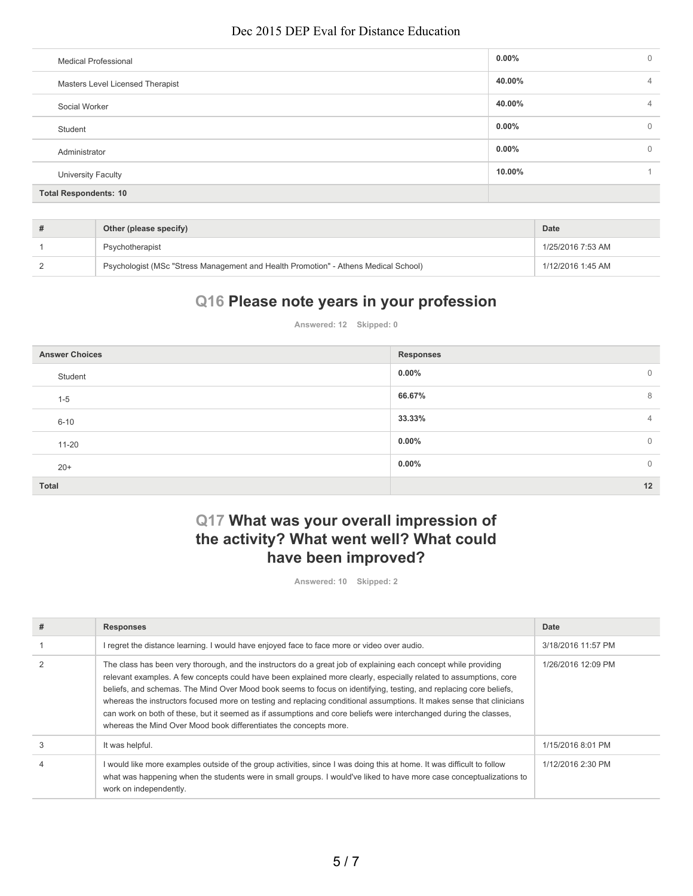| <b>Medical Professional</b>      | $0.00\%$ | $\mathbf{0}$   |
|----------------------------------|----------|----------------|
| Masters Level Licensed Therapist | 40.00%   | $\overline{4}$ |
| Social Worker                    | 40.00%   | 4              |
| Student                          | $0.00\%$ | $\mathbf{0}$   |
| Administrator                    | $0.00\%$ | 0              |
| <b>University Faculty</b>        | 10.00%   |                |
| <b>Total Respondents: 10</b>     |          |                |

| Other (please specify)                                                              | Date              |
|-------------------------------------------------------------------------------------|-------------------|
| Psychotherapist                                                                     | 1/25/2016 7:53 AM |
| Psychologist (MSc "Stress Management and Health Promotion" - Athens Medical School) | 1/12/2016 1:45 AM |

# **Q16 Please note years in your profession**

**Answered: 12 Skipped: 0**

| <b>Answer Choices</b> | <b>Responses</b>         |
|-----------------------|--------------------------|
| Student               | $0.00\%$<br>$\mathbf{0}$ |
| $1 - 5$               | 66.67%<br>8              |
| $6 - 10$              | 33.33%<br>$\overline{4}$ |
| $11 - 20$             | $0.00\%$<br>$\mathbf{0}$ |
| $20+$                 | $0.00\%$<br>$\mathbf{0}$ |
| <b>Total</b>          | 12                       |

# **Q17 What was your overall impression of the activity? What went well? What could have been improved?**

**Answered: 10 Skipped: 2**

| #              | <b>Responses</b>                                                                                                                                                                                                                                                                                                                                                                                                                                                                                                                                                                                                                                                             | Date               |
|----------------|------------------------------------------------------------------------------------------------------------------------------------------------------------------------------------------------------------------------------------------------------------------------------------------------------------------------------------------------------------------------------------------------------------------------------------------------------------------------------------------------------------------------------------------------------------------------------------------------------------------------------------------------------------------------------|--------------------|
|                | l regret the distance learning. I would have enjoyed face to face more or video over audio.                                                                                                                                                                                                                                                                                                                                                                                                                                                                                                                                                                                  | 3/18/2016 11:57 PM |
| $\overline{2}$ | The class has been very thorough, and the instructors do a great job of explaining each concept while providing<br>relevant examples. A few concepts could have been explained more clearly, especially related to assumptions, core<br>beliefs, and schemas. The Mind Over Mood book seems to focus on identifying, testing, and replacing core beliefs,<br>whereas the instructors focused more on testing and replacing conditional assumptions. It makes sense that clinicians<br>can work on both of these, but it seemed as if assumptions and core beliefs were interchanged during the classes,<br>whereas the Mind Over Mood book differentiates the concepts more. | 1/26/2016 12:09 PM |
| 3              | It was helpful.                                                                                                                                                                                                                                                                                                                                                                                                                                                                                                                                                                                                                                                              | 1/15/2016 8:01 PM  |
| $\overline{4}$ | l would like more examples outside of the group activities, since I was doing this at home. It was difficult to follow<br>what was happening when the students were in small groups. I would've liked to have more case conceptualizations to<br>work on independently.                                                                                                                                                                                                                                                                                                                                                                                                      | 1/12/2016 2:30 PM  |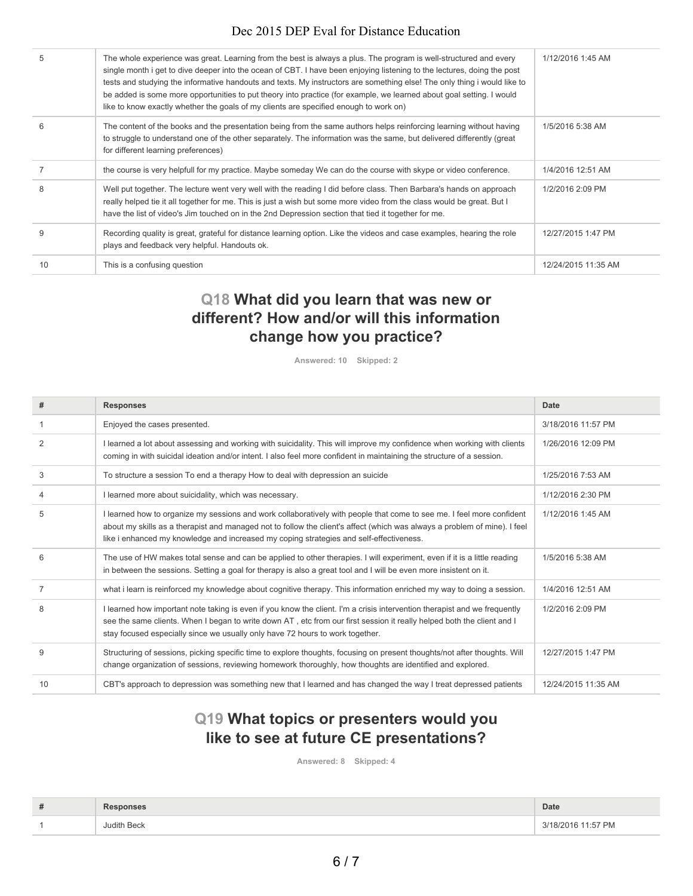| 5              | The whole experience was great. Learning from the best is always a plus. The program is well-structured and every<br>single month i get to dive deeper into the ocean of CBT. I have been enjoying listening to the lectures, doing the post<br>tests and studying the informative handouts and texts. My instructors are something else! The only thing i would like to<br>be added is some more opportunities to put theory into practice (for example, we learned about goal setting. I would<br>like to know exactly whether the goals of my clients are specified enough to work on) | 1/12/2016 1:45 AM   |
|----------------|-------------------------------------------------------------------------------------------------------------------------------------------------------------------------------------------------------------------------------------------------------------------------------------------------------------------------------------------------------------------------------------------------------------------------------------------------------------------------------------------------------------------------------------------------------------------------------------------|---------------------|
| 6              | The content of the books and the presentation being from the same authors helps reinforcing learning without having<br>to struggle to understand one of the other separately. The information was the same, but delivered differently (great<br>for different learning preferences)                                                                                                                                                                                                                                                                                                       | 1/5/2016 5:38 AM    |
| $\overline{7}$ | the course is very helpfull for my practice. Maybe someday We can do the course with skype or video conference.                                                                                                                                                                                                                                                                                                                                                                                                                                                                           | 1/4/2016 12:51 AM   |
| 8              | Well put together. The lecture went very well with the reading I did before class. Then Barbara's hands on approach<br>really helped tie it all together for me. This is just a wish but some more video from the class would be great. But I<br>have the list of video's Jim touched on in the 2nd Depression section that tied it together for me.                                                                                                                                                                                                                                      | 1/2/2016 2:09 PM    |
| 9              | Recording quality is great, grateful for distance learning option. Like the videos and case examples, hearing the role<br>plays and feedback very helpful. Handouts ok.                                                                                                                                                                                                                                                                                                                                                                                                                   | 12/27/2015 1:47 PM  |
| 10             | This is a confusing question                                                                                                                                                                                                                                                                                                                                                                                                                                                                                                                                                              | 12/24/2015 11:35 AM |
|                |                                                                                                                                                                                                                                                                                                                                                                                                                                                                                                                                                                                           |                     |

# **Q18 What did you learn that was new or different? How and/or will this information change how you practice?**

**Answered: 10 Skipped: 2**

| #              | <b>Responses</b>                                                                                                                                                                                                                                                                                                                              | Date                |
|----------------|-----------------------------------------------------------------------------------------------------------------------------------------------------------------------------------------------------------------------------------------------------------------------------------------------------------------------------------------------|---------------------|
|                | Enjoyed the cases presented.                                                                                                                                                                                                                                                                                                                  | 3/18/2016 11:57 PM  |
| $\overline{2}$ | I learned a lot about assessing and working with suicidality. This will improve my confidence when working with clients<br>coming in with suicidal ideation and/or intent. I also feel more confident in maintaining the structure of a session.                                                                                              | 1/26/2016 12:09 PM  |
| 3              | To structure a session To end a therapy How to deal with depression an suicide                                                                                                                                                                                                                                                                | 1/25/2016 7:53 AM   |
| 4              | I learned more about suicidality, which was necessary.                                                                                                                                                                                                                                                                                        | 1/12/2016 2:30 PM   |
| 5              | I learned how to organize my sessions and work collaboratively with people that come to see me. I feel more confident<br>about my skills as a therapist and managed not to follow the client's affect (which was always a problem of mine). I feel<br>like i enhanced my knowledge and increased my coping strategies and self-effectiveness. | 1/12/2016 1:45 AM   |
| 6              | The use of HW makes total sense and can be applied to other therapies. I will experiment, even if it is a little reading<br>in between the sessions. Setting a goal for therapy is also a great tool and I will be even more insistent on it.                                                                                                 | 1/5/2016 5:38 AM    |
| $\overline{7}$ | what i learn is reinforced my knowledge about cognitive therapy. This information enriched my way to doing a session.                                                                                                                                                                                                                         | 1/4/2016 12:51 AM   |
| 8              | I learned how important note taking is even if you know the client. I'm a crisis intervention therapist and we frequently<br>see the same clients. When I began to write down AT, etc from our first session it really helped both the client and I<br>stay focused especially since we usually only have 72 hours to work together.          | 1/2/2016 2:09 PM    |
| 9              | Structuring of sessions, picking specific time to explore thoughts, focusing on present thoughts/not after thoughts. Will<br>change organization of sessions, reviewing homework thoroughly, how thoughts are identified and explored.                                                                                                        | 12/27/2015 1:47 PM  |
| 10             | CBT's approach to depression was something new that I learned and has changed the way I treat depressed patients                                                                                                                                                                                                                              | 12/24/2015 11:35 AM |

# **Q19 What topics or presenters would you like to see at future CE presentations?**

**Answered: 8 Skipped: 4**

| # | <b>Responses</b> | Date               |
|---|------------------|--------------------|
|   | Judith Beck      | 3/18/2016 11:57 PM |